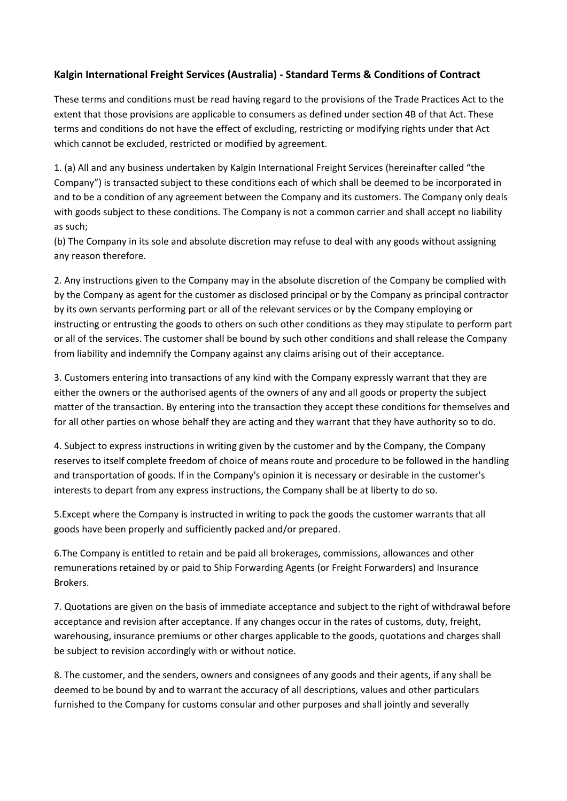## **Kalgin International Freight Services (Australia) - Standard Terms & Conditions of Contract**

These terms and conditions must be read having regard to the provisions of the Trade Practices Act to the extent that those provisions are applicable to consumers as defined under section 4B of that Act. These terms and conditions do not have the effect of excluding, restricting or modifying rights under that Act which cannot be excluded, restricted or modified by agreement.

1. (a) All and any business undertaken by Kalgin International Freight Services (hereinafter called "the Company") is transacted subject to these conditions each of which shall be deemed to be incorporated in and to be a condition of any agreement between the Company and its customers. The Company only deals with goods subject to these conditions. The Company is not a common carrier and shall accept no liability as such;

(b) The Company in its sole and absolute discretion may refuse to deal with any goods without assigning any reason therefore.

2. Any instructions given to the Company may in the absolute discretion of the Company be complied with by the Company as agent for the customer as disclosed principal or by the Company as principal contractor by its own servants performing part or all of the relevant services or by the Company employing or instructing or entrusting the goods to others on such other conditions as they may stipulate to perform part or all of the services. The customer shall be bound by such other conditions and shall release the Company from liability and indemnify the Company against any claims arising out of their acceptance.

3. Customers entering into transactions of any kind with the Company expressly warrant that they are either the owners or the authorised agents of the owners of any and all goods or property the subject matter of the transaction. By entering into the transaction they accept these conditions for themselves and for all other parties on whose behalf they are acting and they warrant that they have authority so to do.

4. Subject to express instructions in writing given by the customer and by the Company, the Company reserves to itself complete freedom of choice of means route and procedure to be followed in the handling and transportation of goods. If in the Company's opinion it is necessary or desirable in the customer's interests to depart from any express instructions, the Company shall be at liberty to do so.

5.Except where the Company is instructed in writing to pack the goods the customer warrants that all goods have been properly and sufficiently packed and/or prepared.

6.The Company is entitled to retain and be paid all brokerages, commissions, allowances and other remunerations retained by or paid to Ship Forwarding Agents (or Freight Forwarders) and Insurance Brokers.

7. Quotations are given on the basis of immediate acceptance and subject to the right of withdrawal before acceptance and revision after acceptance. If any changes occur in the rates of customs, duty, freight, warehousing, insurance premiums or other charges applicable to the goods, quotations and charges shall be subject to revision accordingly with or without notice.

8. The customer, and the senders, owners and consignees of any goods and their agents, if any shall be deemed to be bound by and to warrant the accuracy of all descriptions, values and other particulars furnished to the Company for customs consular and other purposes and shall jointly and severally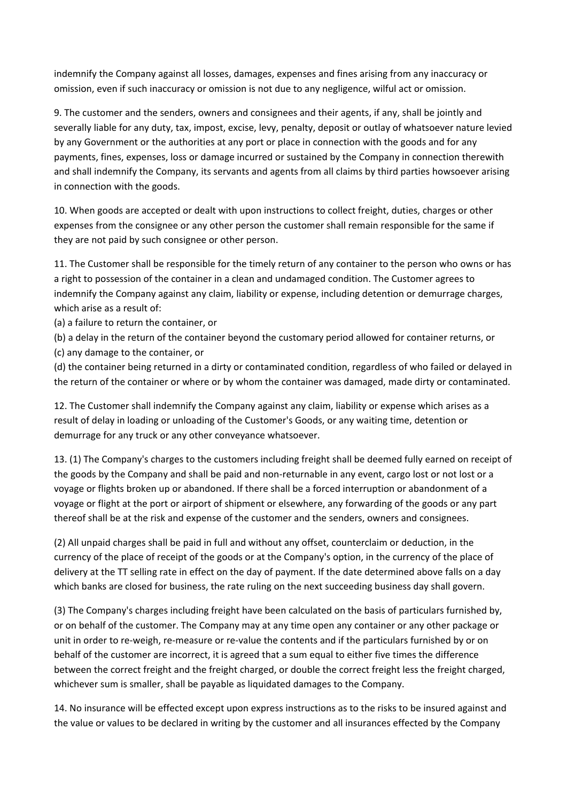indemnify the Company against all losses, damages, expenses and fines arising from any inaccuracy or omission, even if such inaccuracy or omission is not due to any negligence, wilful act or omission.

9. The customer and the senders, owners and consignees and their agents, if any, shall be jointly and severally liable for any duty, tax, impost, excise, levy, penalty, deposit or outlay of whatsoever nature levied by any Government or the authorities at any port or place in connection with the goods and for any payments, fines, expenses, loss or damage incurred or sustained by the Company in connection therewith and shall indemnify the Company, its servants and agents from all claims by third parties howsoever arising in connection with the goods.

10. When goods are accepted or dealt with upon instructions to collect freight, duties, charges or other expenses from the consignee or any other person the customer shall remain responsible for the same if they are not paid by such consignee or other person.

11. The Customer shall be responsible for the timely return of any container to the person who owns or has a right to possession of the container in a clean and undamaged condition. The Customer agrees to indemnify the Company against any claim, liability or expense, including detention or demurrage charges, which arise as a result of:

(a) a failure to return the container, or

(b) a delay in the return of the container beyond the customary period allowed for container returns, or (c) any damage to the container, or

(d) the container being returned in a dirty or contaminated condition, regardless of who failed or delayed in the return of the container or where or by whom the container was damaged, made dirty or contaminated.

12. The Customer shall indemnify the Company against any claim, liability or expense which arises as a result of delay in loading or unloading of the Customer's Goods, or any waiting time, detention or demurrage for any truck or any other conveyance whatsoever.

13. (1) The Company's charges to the customers including freight shall be deemed fully earned on receipt of the goods by the Company and shall be paid and non-returnable in any event, cargo lost or not lost or a voyage or flights broken up or abandoned. If there shall be a forced interruption or abandonment of a voyage or flight at the port or airport of shipment or elsewhere, any forwarding of the goods or any part thereof shall be at the risk and expense of the customer and the senders, owners and consignees.

(2) All unpaid charges shall be paid in full and without any offset, counterclaim or deduction, in the currency of the place of receipt of the goods or at the Company's option, in the currency of the place of delivery at the TT selling rate in effect on the day of payment. If the date determined above falls on a day which banks are closed for business, the rate ruling on the next succeeding business day shall govern.

(3) The Company's charges including freight have been calculated on the basis of particulars furnished by, or on behalf of the customer. The Company may at any time open any container or any other package or unit in order to re-weigh, re-measure or re-value the contents and if the particulars furnished by or on behalf of the customer are incorrect, it is agreed that a sum equal to either five times the difference between the correct freight and the freight charged, or double the correct freight less the freight charged, whichever sum is smaller, shall be payable as liquidated damages to the Company.

14. No insurance will be effected except upon express instructions as to the risks to be insured against and the value or values to be declared in writing by the customer and all insurances effected by the Company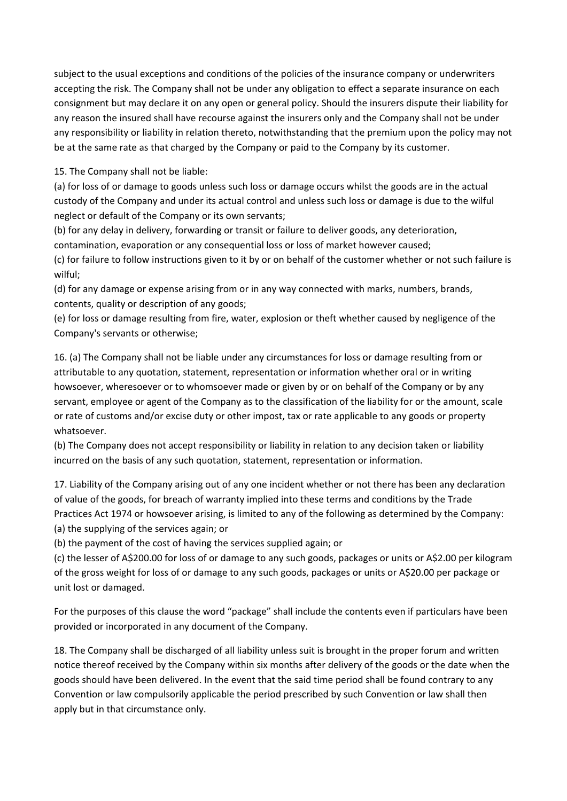subject to the usual exceptions and conditions of the policies of the insurance company or underwriters accepting the risk. The Company shall not be under any obligation to effect a separate insurance on each consignment but may declare it on any open or general policy. Should the insurers dispute their liability for any reason the insured shall have recourse against the insurers only and the Company shall not be under any responsibility or liability in relation thereto, notwithstanding that the premium upon the policy may not be at the same rate as that charged by the Company or paid to the Company by its customer.

15. The Company shall not be liable:

(a) for loss of or damage to goods unless such loss or damage occurs whilst the goods are in the actual custody of the Company and under its actual control and unless such loss or damage is due to the wilful neglect or default of the Company or its own servants;

(b) for any delay in delivery, forwarding or transit or failure to deliver goods, any deterioration, contamination, evaporation or any consequential loss or loss of market however caused;

(c) for failure to follow instructions given to it by or on behalf of the customer whether or not such failure is wilful;

(d) for any damage or expense arising from or in any way connected with marks, numbers, brands, contents, quality or description of any goods;

(e) for loss or damage resulting from fire, water, explosion or theft whether caused by negligence of the Company's servants or otherwise;

16. (a) The Company shall not be liable under any circumstances for loss or damage resulting from or attributable to any quotation, statement, representation or information whether oral or in writing howsoever, wheresoever or to whomsoever made or given by or on behalf of the Company or by any servant, employee or agent of the Company as to the classification of the liability for or the amount, scale or rate of customs and/or excise duty or other impost, tax or rate applicable to any goods or property whatsoever.

(b) The Company does not accept responsibility or liability in relation to any decision taken or liability incurred on the basis of any such quotation, statement, representation or information.

17. Liability of the Company arising out of any one incident whether or not there has been any declaration of value of the goods, for breach of warranty implied into these terms and conditions by the Trade Practices Act 1974 or howsoever arising, is limited to any of the following as determined by the Company: (a) the supplying of the services again; or

(b) the payment of the cost of having the services supplied again; or

(c) the lesser of A\$200.00 for loss of or damage to any such goods, packages or units or A\$2.00 per kilogram of the gross weight for loss of or damage to any such goods, packages or units or A\$20.00 per package or unit lost or damaged.

For the purposes of this clause the word "package" shall include the contents even if particulars have been provided or incorporated in any document of the Company.

18. The Company shall be discharged of all liability unless suit is brought in the proper forum and written notice thereof received by the Company within six months after delivery of the goods or the date when the goods should have been delivered. In the event that the said time period shall be found contrary to any Convention or law compulsorily applicable the period prescribed by such Convention or law shall then apply but in that circumstance only.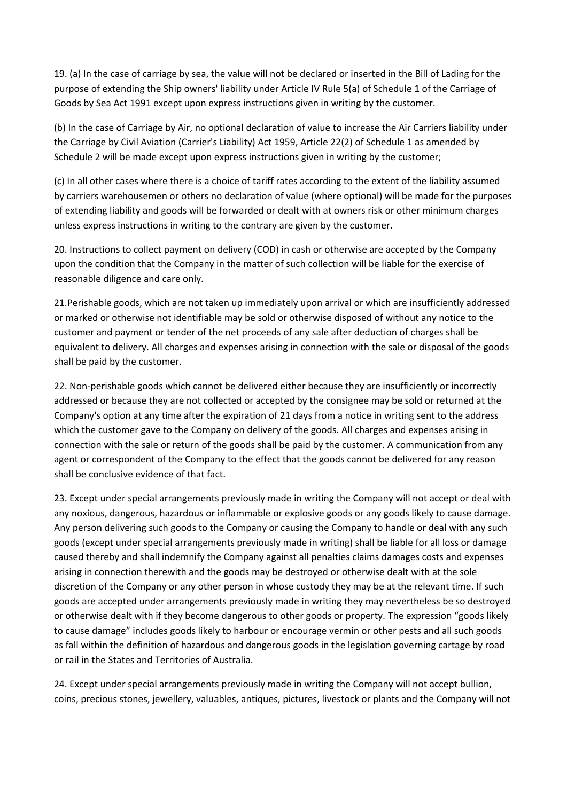19. (a) In the case of carriage by sea, the value will not be declared or inserted in the Bill of Lading for the purpose of extending the Ship owners' liability under Article IV Rule 5(a) of Schedule 1 of the Carriage of Goods by Sea Act 1991 except upon express instructions given in writing by the customer.

(b) In the case of Carriage by Air, no optional declaration of value to increase the Air Carriers liability under the Carriage by Civil Aviation (Carrier's Liability) Act 1959, Article 22(2) of Schedule 1 as amended by Schedule 2 will be made except upon express instructions given in writing by the customer;

(c) In all other cases where there is a choice of tariff rates according to the extent of the liability assumed by carriers warehousemen or others no declaration of value (where optional) will be made for the purposes of extending liability and goods will be forwarded or dealt with at owners risk or other minimum charges unless express instructions in writing to the contrary are given by the customer.

20. Instructions to collect payment on delivery (COD) in cash or otherwise are accepted by the Company upon the condition that the Company in the matter of such collection will be liable for the exercise of reasonable diligence and care only.

21.Perishable goods, which are not taken up immediately upon arrival or which are insufficiently addressed or marked or otherwise not identifiable may be sold or otherwise disposed of without any notice to the customer and payment or tender of the net proceeds of any sale after deduction of charges shall be equivalent to delivery. All charges and expenses arising in connection with the sale or disposal of the goods shall be paid by the customer.

22. Non-perishable goods which cannot be delivered either because they are insufficiently or incorrectly addressed or because they are not collected or accepted by the consignee may be sold or returned at the Company's option at any time after the expiration of 21 days from a notice in writing sent to the address which the customer gave to the Company on delivery of the goods. All charges and expenses arising in connection with the sale or return of the goods shall be paid by the customer. A communication from any agent or correspondent of the Company to the effect that the goods cannot be delivered for any reason shall be conclusive evidence of that fact.

23. Except under special arrangements previously made in writing the Company will not accept or deal with any noxious, dangerous, hazardous or inflammable or explosive goods or any goods likely to cause damage. Any person delivering such goods to the Company or causing the Company to handle or deal with any such goods (except under special arrangements previously made in writing) shall be liable for all loss or damage caused thereby and shall indemnify the Company against all penalties claims damages costs and expenses arising in connection therewith and the goods may be destroyed or otherwise dealt with at the sole discretion of the Company or any other person in whose custody they may be at the relevant time. If such goods are accepted under arrangements previously made in writing they may nevertheless be so destroyed or otherwise dealt with if they become dangerous to other goods or property. The expression "goods likely to cause damage" includes goods likely to harbour or encourage vermin or other pests and all such goods as fall within the definition of hazardous and dangerous goods in the legislation governing cartage by road or rail in the States and Territories of Australia.

24. Except under special arrangements previously made in writing the Company will not accept bullion, coins, precious stones, jewellery, valuables, antiques, pictures, livestock or plants and the Company will not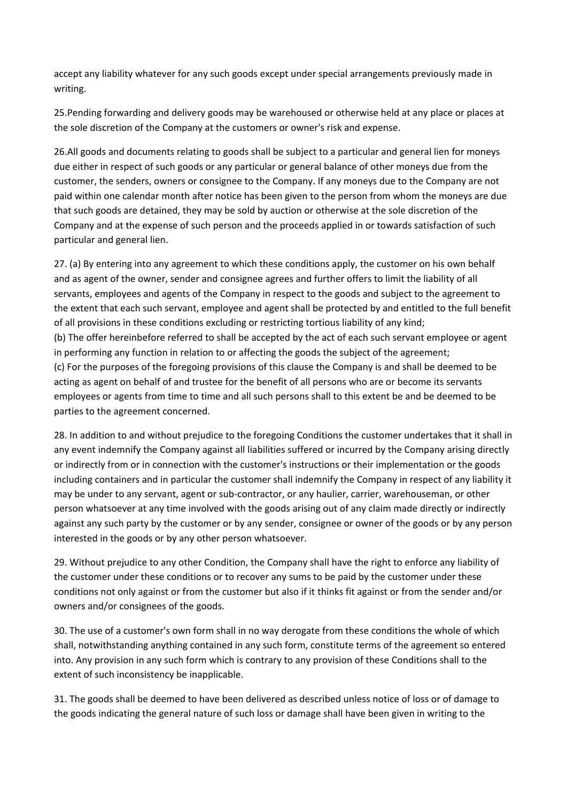accept any liability whatever for any such goods except under special arrangements previously made in writing.

25.Pending forwarding and delivery goods may be warehoused or otherwise held at any place or places at the sole discretion of the Company at the customers or owner's risk and expense.

26.All goods and documents relating to goods shall be subject to a particular and general lien for moneys due either in respect of such goods or any particular or general balance of other moneys due from the customer, the senders, owners or consignee to the Company. If any moneys due to the Company are not paid within one calendar month after notice has been given to the person from whom the moneys are due that such goods are detained, they may be sold by auction or otherwise at the sole discretion of the Company and at the expense of such person and the proceeds applied in or towards satisfaction of such particular and general lien.

27. (a) By entering into any agreement to which these conditions apply, the customer on his own behalf and as agent of the owner, sender and consignee agrees and further offers to limit the liability of all servants, employees and agents of the Company in respect to the goods and subject to the agreement to the extent that each such servant, employee and agent shall be protected by and entitled to the full benefit of all provisions in these conditions excluding or restricting tortious liability of any kind; (b) The offer hereinbefore referred to shall be accepted by the act of each such servant employee or agent in performing any function in relation to or affecting the goods the subject of the agreement; (c) For the purposes of the foregoing provisions of this clause the Company is and shall be deemed to be acting as agent on behalf of and trustee for the benefit of all persons who are or become its servants employees or agents from time to time and all such persons shall to this extent be and be deemed to be parties to the agreement concerned.

28. In addition to and without prejudice to the foregoing Conditions the customer undertakes that it shall in any event indemnify the Company against all liabilities suffered or incurred by the Company arising directly or indirectly from or in connection with the customer's instructions or their implementation or the goods including containers and in particular the customer shall indemnify the Company in respect of any liability it may be under to any servant, agent or sub-contractor, or any haulier, carrier, warehouseman, or other person whatsoever at any time involved with the goods arising out of any claim made directly or indirectly against any such party by the customer or by any sender, consignee or owner of the goods or by any person interested in the goods or by any other person whatsoever.

29. Without prejudice to any other Condition, the Company shall have the right to enforce any liability of the customer under these conditions or to recover any sums to be paid by the customer under these conditions not only against or from the customer but also if it thinks fit against or from the sender and/or owners and/or consignees of the goods.

30. The use of a customer's own form shall in no way derogate from these conditions the whole of which shall, notwithstanding anything contained in any such form, constitute terms of the agreement so entered into. Any provision in any such form which is contrary to any provision of these Conditions shall to the extent of such inconsistency be inapplicable.

31. The goods shall be deemed to have been delivered as described unless notice of loss or of damage to the goods indicating the general nature of such loss or damage shall have been given in writing to the